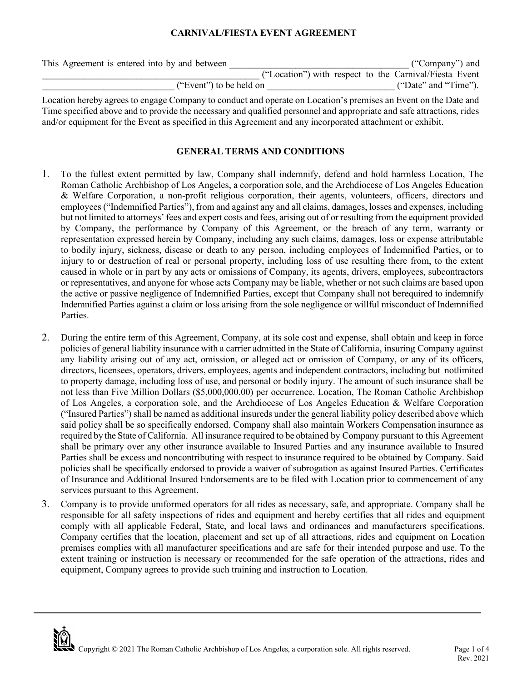### **CARNIVAL/FIESTA EVENT AGREEMENT**

| This Agreement is entered into by and between |  | ("Company") and                                        |  |
|-----------------------------------------------|--|--------------------------------------------------------|--|
|                                               |  | ("Location") with respect to the Carnival/Fiesta Event |  |
| ("Event") to be held on                       |  | ("Date" and "Time").                                   |  |

Location hereby agrees to engage Company to conduct and operate on Location's premises an Event on the Date and Time specified above and to provide the necessary and qualified personnel and appropriate and safe attractions, rides and/or equipment for the Event as specified in this Agreement and any incorporated attachment or exhibit.

### **GENERAL TERMS AND CONDITIONS**

- 1. To the fullest extent permitted by law, Company shall indemnify, defend and hold harmless Location, The Roman Catholic Archbishop of Los Angeles, a corporation sole, and the Archdiocese of Los Angeles Education & Welfare Corporation, a non-profit religious corporation, their agents, volunteers, officers, directors and employees ("Indemnified Parties"), from and against any and all claims, damages, losses and expenses, including but not limited to attorneys' fees and expert costs and fees, arising out of or resulting from the equipment provided by Company, the performance by Company of this Agreement, or the breach of any term, warranty or representation expressed herein by Company, including any such claims, damages, loss or expense attributable to bodily injury, sickness, disease or death to any person, including employees of Indemnified Parties, or to injury to or destruction of real or personal property, including loss of use resulting there from, to the extent caused in whole or in part by any acts or omissions of Company, its agents, drivers, employees, subcontractors or representatives, and anyone for whose acts Company may be liable, whether or not such claims are based upon the active or passive negligence of Indemnified Parties, except that Company shall not berequired to indemnify Indemnified Parties against a claim or loss arising from the sole negligence or willful misconduct of Indemnified Parties.
- 2. During the entire term of this Agreement, Company, at its sole cost and expense, shall obtain and keep in force policies of general liability insurance with a carrier admitted in the State of California, insuring Company against any liability arising out of any act, omission, or alleged act or omission of Company, or any of its officers, directors, licensees, operators, drivers, employees, agents and independent contractors, including but notlimited to property damage, including loss of use, and personal or bodily injury. The amount of such insurance shall be not less than Five Million Dollars (\$5,000,000.00) per occurrence. Location, The Roman Catholic Archbishop of Los Angeles, a corporation sole, and the Archdiocese of Los Angeles Education & Welfare Corporation ("Insured Parties") shall be named as additional insureds under the general liability policy described above which said policy shall be so specifically endorsed. Company shall also maintain Workers Compensation insurance as required by the State of California. All insurance required to be obtained by Company pursuant to this Agreement shall be primary over any other insurance available to Insured Parties and any insurance available to Insured Parties shall be excess and noncontributing with respect to insurance required to be obtained by Company. Said policies shall be specifically endorsed to provide a waiver of subrogation as against Insured Parties. Certificates of Insurance and Additional Insured Endorsements are to be filed with Location prior to commencement of any services pursuant to this Agreement.
- 3. Company is to provide uniformed operators for all rides as necessary, safe, and appropriate. Company shall be responsible for all safety inspections of rides and equipment and hereby certifies that all rides and equipment comply with all applicable Federal, State, and local laws and ordinances and manufacturers specifications. Company certifies that the location, placement and set up of all attractions, rides and equipment on Location premises complies with all manufacturer specifications and are safe for their intended purpose and use. To the extent training or instruction is necessary or recommended for the safe operation of the attractions, rides and equipment, Company agrees to provide such training and instruction to Location.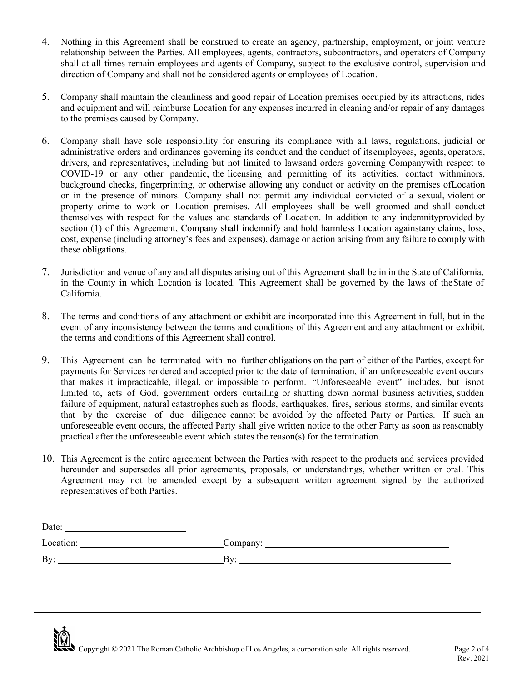- 4. Nothing in this Agreement shall be construed to create an agency, partnership, employment, or joint venture relationship between the Parties. All employees, agents, contractors, subcontractors, and operators of Company shall at all times remain employees and agents of Company, subject to the exclusive control, supervision and direction of Company and shall not be considered agents or employees of Location.
- 5. Company shall maintain the cleanliness and good repair of Location premises occupied by its attractions, rides and equipment and will reimburse Location for any expenses incurred in cleaning and/or repair of any damages to the premises caused by Company.
- 6. Company shall have sole responsibility for ensuring its compliance with all laws, regulations, judicial or administrative orders and ordinances governing its conduct and the conduct of its employees, agents, operators, drivers, and representatives, including but not limited to laws and orders governing Company with respect to COVID-19 or any other pandemic, the licensing and permitting of its activities, contact withminors, background checks, fingerprinting, or otherwise allowing any conduct or activity on the premises of Location or in the presence of minors. Company shall not permit any individual convicted of a sexual, violent or property crime to work on Location premises. All employees shall be well groomed and shall conduct themselves with respect for the values and standards of Location. In addition to any indemnity provided by section (1) of this Agreement, Company shall indemnify and hold harmless Location against any claims, loss, cost, expense (including attorney's fees and expenses), damage or action arising from any failure to comply with these obligations.
- 7. Jurisdiction and venue of any and all disputes arising out of this Agreement shall be in in the State of California, in the County in which Location is located. This Agreement shall be governed by the laws of theState of California.
- 8. The terms and conditions of any attachment or exhibit are incorporated into this Agreement in full, but in the event of any inconsistency between the terms and conditions of this Agreement and any attachment or exhibit, the terms and conditions of this Agreement shall control.
- 9. This Agreement can be terminated with no further obligations on the part of either of the Parties, except for payments for Services rendered and accepted prior to the date of termination, if an unforeseeable event occurs that makes it impracticable, illegal, or impossible to perform. "Unforeseeable event" includes, but isnot limited to, acts of God, government orders curtailing or shutting down normal business activities, sudden failure of equipment, natural catastrophes such as floods, earthquakes, fires, serious storms, and similar events that by the exercise of due diligence cannot be avoided by the affected Party or Parties. If such an unforeseeable event occurs, the affected Party shall give written notice to the other Party as soon as reasonably practical after the unforeseeable event which states the reason(s) for the termination.
- 10. This Agreement is the entire agreement between the Parties with respect to the products and services provided hereunder and supersedes all prior agreements, proposals, or understandings, whether written or oral. This Agreement may not be amended except by a subsequent written agreement signed by the authorized representatives of both Parties.

| Date:     |                |
|-----------|----------------|
| Location: | Company:       |
| By:       | $\mathbf{R}$ v |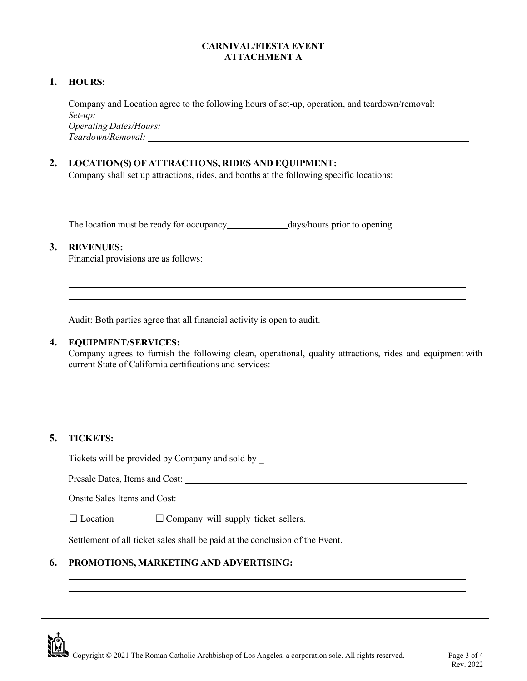## **CARNIVAL/FIESTA EVENT ATTACHMENT A**

### **1. HOURS:**

Company and Location agree to the following hours of set-up, operation, and teardown/removal: *Set-up:*

*Operating Dates/Hours: Teardown/Removal:*

## **2. LOCATION(S) OF ATTRACTIONS, RIDES AND EQUIPMENT:**

Company shall set up attractions, rides, and booths at the following specific locations:

The location must be ready for occupancy\_\_\_\_\_\_\_\_\_\_\_\_\_\_\_\_\_\_\_\_\_\_days/hours prior to opening.

## **3. REVENUES:**

Financial provisions are as follows:

Audit: Both parties agree that all financial activity is open to audit.

#### **4. EQUIPMENT/SERVICES:**

Company agrees to furnish the following clean, operational, quality attractions, rides and equipment with current State of California certifications and services:

## **5. TICKETS:**

Tickets will be provided by Company and sold by \_

Presale Dates, Items and Cost:

Onsite Sales Items and Cost:

 $\Box$  Location  $\Box$  Company will supply ticket sellers.

Settlement of all ticket sales shall be paid at the conclusion of the Event.

# **6. PROMOTIONS, MARKETING AND ADVERTISING:**